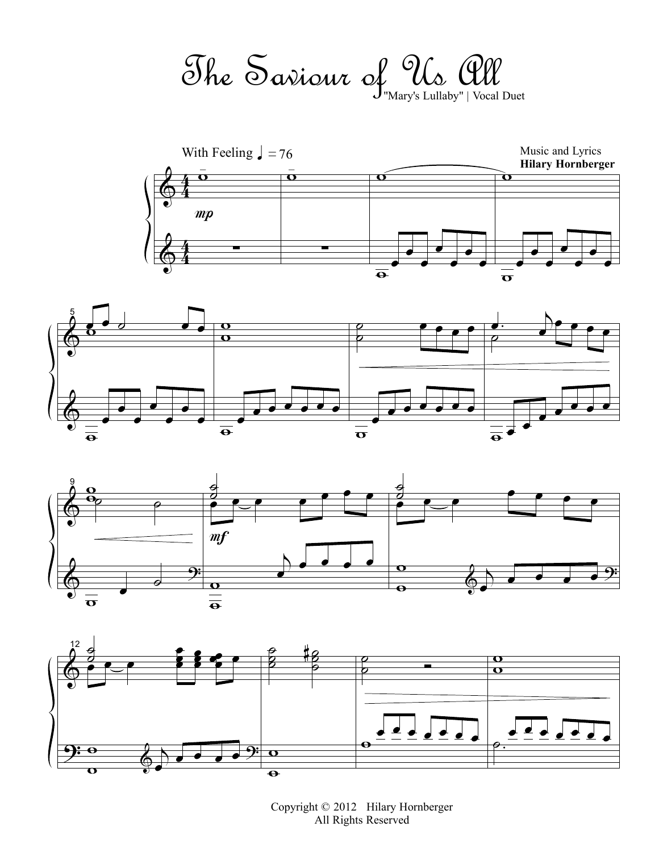The Saviour of Us All "Mary's Lullaby" | Vocal Duet









Copyright © 2012 Hilary Hornberger All Rights Reserved